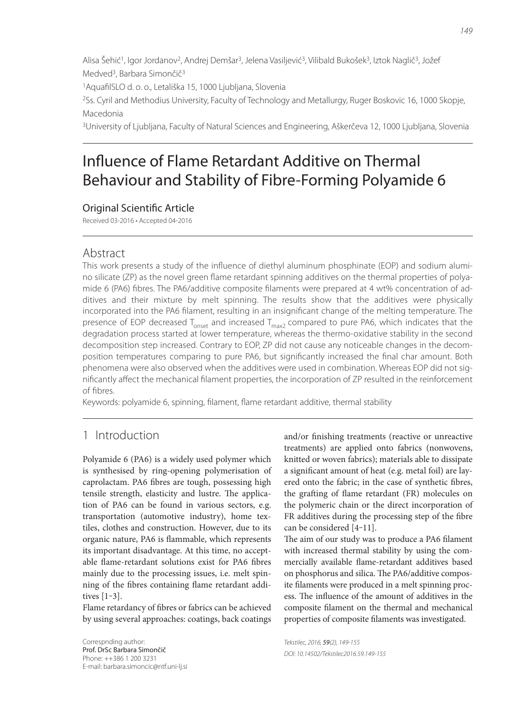Alisa Šehić1, Igor Jordanov2, Andrej Demšar3, Jelena Vasiljević3, Vilibald Bukošek3, Iztok Naglič3, Jožef Medved<sup>3</sup>, Barbara Simončič<sup>3</sup>

<sup>1</sup> Aquafil SLO d. o. o., Letališka 15, 1000 Ljubljana, Slovenia

2Ss. Cyril and Methodius University, Faculty of Technology and Metallurgy, Ruger Boskovic 16, 1000 Skopje, Macedonia

3University of Ljubljana, Faculty of Natural Sciences and Engineering, Aškerčeva 12, 1000 Ljubljana, Slovenia

# Influence of Flame Retardant Additive on Thermal Behaviour and Stability of Fibre-Forming Polyamide 6

# **Original Scientific Article**

Received 03-2016 • Accepted 04-2016

# Abstract

This work presents a study of the influence of diethyl aluminum phosphinate (EOP) and sodium alumino silicate (ZP) as the novel green flame retardant spinning additives on the thermal properties of polyamide 6 (PA6) fibres. The PA6/additive composite filaments were prepared at 4 wt% concentration of additives and their mixture by melt spinning. The results show that the additives were physically incorporated into the PA6 filament, resulting in an insignificant change of the melting temperature. The presence of EOP decreased  $T_{onset}$  and increased  $T_{max2}$  compared to pure PA6, which indicates that the degradation process started at lower temperature, whereas the thermo-oxidative stability in the second decomposition step increased. Contrary to EOP, ZP did not cause any noticeable changes in the decomposition temperatures comparing to pure PA6, but significantly increased the final char amount. Both phenomena were also observed when the additives were used in combination. Whereas EOP did not significantly affect the mechanical filament properties, the incorporation of ZP resulted in the reinforcement of fibres.

Keywords: polyamide 6, spinning, filament, flame retardant additive, thermal stability

# 1 Introduction

Polyamide 6 (PA6) is a widely used polymer which is synthesised by ring-opening polymerisation of caprolactam. PA6 fibres are tough, possessing high tensile strength, elasticity and lustre. The application of PA6 can be found in various sectors, e.g. transportation (automotive industry), home textiles, clothes and construction. However, due to its organic nature, PA6 is flammable, which represents its important disadvantage. At this time, no acceptable flame-retardant solutions exist for PA6 fibres mainly due to the processing issues, i.e. melt spinning of the fibres containing flame retardant additives  $[1-3]$ .

Flame retardancy of fibres or fabrics can be achieved by using several approaches: coatings, back coatings

Correspnding author: Prof. DrSc Barbara Simončič Phone: ++386 1 200 3231 E-mail: barbara.simoncic@ntf.uni-lj.si and/or finishing treatments (reactive or unreactive treatments) are applied onto fabrics (nonwovens, knitted or woven fabrics); materials able to dissipate a significant amount of heat (e.g. metal foil) are layered onto the fabric; in the case of synthetic fibres, the grafting of flame retardant (FR) molecules on the polymeric chain or the direct incorporation of FR additives during the processing step of the fibre can be considered [4-11].

The aim of our study was to produce a PA6 filament with increased thermal stability by using the commercially available flame-retardant additives based on phosphorus and silica. The PA6/additive composite filaments were produced in a melt spinning process. The influence of the amount of additives in the composite filament on the thermal and mechanical properties of composite filaments was investigated.

Tekstilec, 2016, 59(2), 149-155 DOI: 10.14502/Tekstilec2016.59.149-155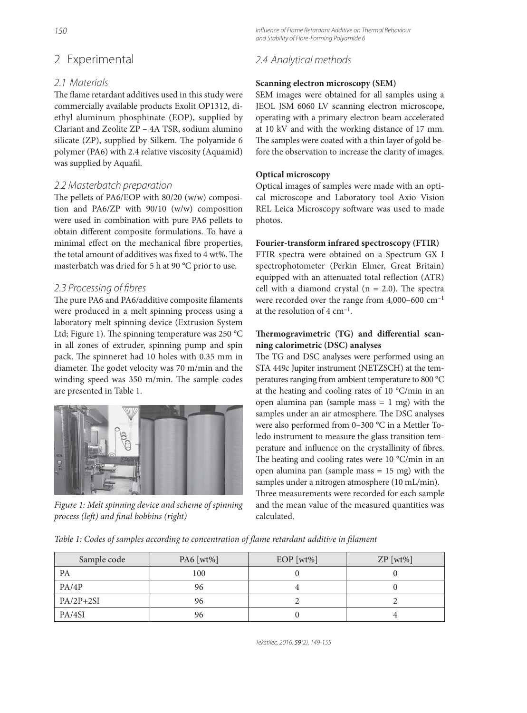# 2 Experimental

## 2.1 Materials

The flame retardant additives used in this study were commercially available products Exolit OP1312, diethyl aluminum phosphinate (EOP), supplied by Clariant and Zeolite ZP – 4A TSR, sodium alumino silicate (ZP), supplied by Silkem. The polyamide 6 polymer (PA6) with 2.4 relative viscosity (Aquamid) was supplied by Aquafil.

## 2.2 Masterbatch preparation

The pellets of PA6/EOP with  $80/20$  (w/w) composition and PA6/ZP with 90/10 (w/w) composition were used in combination with pure PA6 pellets to obtain different composite formulations. To have a minimal effect on the mechanical fibre properties, the total amount of additives was fixed to 4 wt%. The masterbatch was dried for 5 h at 90 °C prior to use.

## 2.3 Processing of fibres

The pure PA6 and PA6/additive composite filaments were produced in a melt spinning process using a laboratory melt spinning device (Extrusion System Ltd; Figure 1). The spinning temperature was  $250 °C$ in all zones of extruder, spinning pump and spin pack. The spinneret had 10 holes with 0.35 mm in diameter. The godet velocity was 70 m/min and the winding speed was 350 m/min. The sample codes are presented in Table 1.



Figure 1: Melt spinning device and scheme of spinning process (left) and final bobbins (right)

Influence of Flame Retardant Additive on Thermal Behaviour and Stability of Fibre-Forming Polyamide 6

## 2.4 Analytical methods

#### **Scanning electron microscopy (SEM)**

SEM images were obtained for all samples using a JEOL JSM 6060 LV scanning electron microscope, operating with a primary electron beam accelerated at 10 kV and with the working distance of 17 mm. The samples were coated with a thin layer of gold before the observation to increase the clarity of images.

#### **Optical microscopy**

Optical images of samples were made with an optical microscope and Laboratory tool Axio Vision REL Leica Microscopy software was used to made photos.

#### **Fourier-transform infrared spectroscopy (FTIR)**

FTIR spectra were obtained on a Spectrum GX I spectrophotometer (Perkin Elmer, Great Britain) equipped with an attenuated total reflection (ATR) cell with a diamond crystal ( $n = 2.0$ ). The spectra were recorded over the range from 4,000–600 cm–1 at the resolution of 4 cm–1.

## Thermogravimetric (TG) and differential scan**ning calorimetric (DSC) analyses**

The TG and DSC analyses were performed using an STA 449c Jupiter instrument (NETZSCH) at the temperatures ranging from ambient temperature to 800 °C at the heating and cooling rates of 10 °C/min in an open alumina pan (sample mass  $= 1$  mg) with the samples under an air atmosphere. The DSC analyses were also performed from 0–300 °C in a Mettler Toledo instrument to measure the glass transition temperature and influence on the crystallinity of fibres. The heating and cooling rates were  $10 °C/min$  in an open alumina pan (sample mass = 15 mg) with the samples under a nitrogen atmosphere (10 mL/min). Three measurements were recorded for each sample and the mean value of the measured quantities was

Table 1: Codes of samples according to concentration of flame retardant additive in filament

| Sample code | PA6 [wt%] | $EOP$ [wt%] | $ZP$ [wt%] |
|-------------|-----------|-------------|------------|
| <b>PA</b>   | 100       |             |            |
| PA/4P       | 96        |             |            |
| $PA/2P+2SI$ | 96        |             |            |
| PA/4SI      | 96        |             |            |

calculated.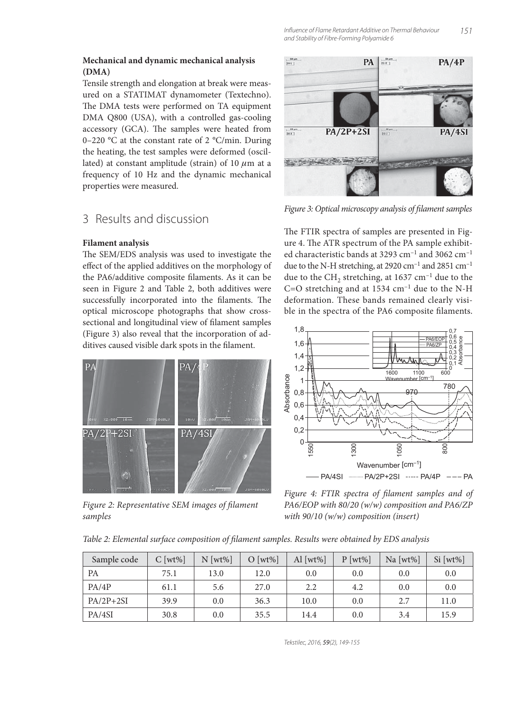#### **Mechanical and dynamic mechanical analysis (DMA)**

Tensile strength and elongation at break were measured on a STATIMAT dynamometer (Textechno). The DMA tests were performed on TA equipment DMA Q800 (USA), with a controlled gas-cooling accessory (GCA). The samples were heated from 0–220 °C at the constant rate of 2 °C/min. During the heating, the test samples were deformed (oscillated) at constant amplitude (strain) of 10  $\mu$ m at a frequency of 10 Hz and the dynamic mechanical properties were measured.

# 3 Results and discussion

## **Filament analysis**

The SEM/EDS analysis was used to investigate the effect of the applied additives on the morphology of the PA6/additive composite filaments. As it can be seen in Figure 2 and Table 2, both additives were successfully incorporated into the filaments. The optical microscope photographs that show crosssectional and longitudinal view of filament samples (Figure 3) also reveal that the incorporation of additives caused visible dark spots in the filament.



Figure 2: Representative SEM images of filament samples



Figure 3: Optical microscopy analysis of filament samples

The FTIR spectra of samples are presented in Figure 4. The ATR spectrum of the PA sample exhibited characteristic bands at 3293 cm–1 and 3062 cm–1 due to the N-H stretching, at 2920 cm<sup>-1</sup> and 2851 cm<sup>-1</sup> due to the CH<sub>2</sub> stretching, at 1637 cm<sup>-1</sup> due to the  $C=O$  stretching and at 1534  $cm^{-1}$  due to the N-H deformation. These bands remained clearly visible in the spectra of the PA6 composite filaments.



Figure 4: FTIR spectra of filament samples and of PA6/EOP with 80/20 (w/w) composition and PA6/ZP with 90/10 (w/w) composition (insert)

Table 2: Elemental surface composition of filament samples. Results were obtained by EDS analysis

| Sample code | $C$ [wt%] | $N$ [wt%] | $O [wt\%]$ | Al [ $wt\%$ ] | $P$ [wt%] | Na [ $wt\%$ ] | $Si [wt\%]$ |
|-------------|-----------|-----------|------------|---------------|-----------|---------------|-------------|
| PA          | 75.1      | 13.0      | 12.0       | 0.0           | 0.0       | 0.0           | 0.0         |
| PA/4P       | 61.1      | 5.6       | 27.0       | 2.2           | 4.2       | 0.0           | 0.0         |
| $PA/2P+2SI$ | 39.9      | 0.0       | 36.3       | 10.0          | 0.0       | 2.7           | 11.0        |
| PA/4SI      | 30.8      | 0.0       | 35.5       | 14.4          | 0.0       | 3.4           | 15.9        |

Tekstilec, 2016, 59(2), 149-155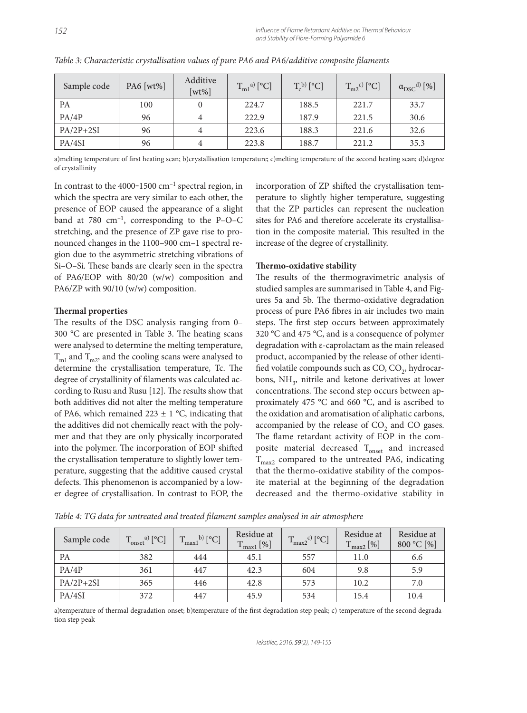| Sample code | PA6 [wt%] | Additive<br>$[wt\%]$ | $T_{m1}^{a}$ <sup>[°</sup> C] | $T_c^{(b)}$ [ <sup>o</sup> C] | $T_{m2}^{c}$ <sup>c)</sup> [°C] | $\alpha_{DSC}^{d)}$ [%] |
|-------------|-----------|----------------------|-------------------------------|-------------------------------|---------------------------------|-------------------------|
| <b>PA</b>   | 100       |                      | 224.7                         | 188.5                         | 221.7                           | 33.7                    |
| PA/4P       | 96        | 4                    | 222.9                         | 187.9                         | 221.5                           | 30.6                    |
| $PA/2P+2SI$ | 96        | 4                    | 223.6                         | 188.3                         | 221.6                           | 32.6                    |
| PA/4SI      | 96        | 4                    | 223.8                         | 188.7                         | 221.2                           | 35.3                    |

Table 3: Characteristic crystallisation values of pure PA6 and PA6/additive composite filaments

a)melting temperature of first heating scan; b)crystallisation temperature; c)melting temperature of the second heating scan; d)degree of crystallinity

In contrast to the 4000-1500  $cm^{-1}$  spectral region, in which the spectra are very similar to each other, the presence of EOP caused the appearance of a slight band at 780  $cm^{-1}$ , corresponding to the P–O–C stretching, and the presence of ZP gave rise to pronounced changes in the 1100–900 cm–1 spectral region due to the asymmetric stretching vibrations of Si-O-Si. These bands are clearly seen in the spectra of PA6/EOP with 80/20 (w/w) composition and PA6/ZP with 90/10 (w/w) composition.

#### **Thermal properties**

The results of the DSC analysis ranging from 0- $300 \text{ °C}$  are presented in Table 3. The heating scans were analysed to determine the melting temperature,  $T<sub>m1</sub>$  and  $T<sub>m2</sub>$ , and the cooling scans were analysed to determine the crystallisation temperature, Tc. The degree of crystallinity of filaments was calculated according to Rusu and Rusu [12]. The results show that both additives did not alter the melting temperature of PA6, which remained  $223 \pm 1$  °C, indicating that the additives did not chemically react with the polymer and that they are only physically incorporated into the polymer. The incorporation of EOP shifted the crystallisation temperature to slightly lower temperature, suggesting that the additive caused crystal defects. This phenomenon is accompanied by a lower degree of crystallisation. In contrast to EOP, the

incorporation of ZP shifted the crystallisation temperature to slightly higher temperature, suggesting that the ZP particles can represent the nucleation sites for PA6 and therefore accelerate its crystallisation in the composite material. This resulted in the increase of the degree of crystallinity.

#### **Thermo-oxidative stability**

The results of the thermogravimetric analysis of studied samples are summarised in Table 4, and Figures 5a and 5b. The thermo-oxidative degradation process of pure PA6 fibres in air includes two main steps. The first step occurs between approximately 320 °C and 475 °C, and is a consequence of polymer degradation with ε-caprolactam as the main released product, accompanied by the release of other identified volatile compounds such as  $CO$ ,  $CO<sub>2</sub>$ , hydrocarbons,  $NH<sub>3</sub>$ , nitrile and ketone derivatives at lower concentrations. The second step occurs between approximately 475 °C and 660 °C, and is ascribed to the oxidation and aromatisation of aliphatic carbons, accompanied by the release of  $CO<sub>2</sub>$  and CO gases. The flame retardant activity of EOP in the composite material decreased  $T_{onset}$  and increased  $T_{\text{max2}}$  compared to the untreated PA6, indicating that the thermo-oxidative stability of the composite material at the beginning of the degradation decreased and the thermo-oxidative stability in

| Sample code | $\int_{\text{onset}}^{\text{a)}}$ [°C]<br>$\mathbf{T}$ | $\mathbf{b}$ [°C]<br>$\mathbf{H}$<br>$\frac{1}{2}$ max 1 | Residue at<br>$T_{max1}$ [%]<br>$\mathbf{T}$ | $-max^2$ <sup>c)</sup> [°C] | Residue at<br>$\mathbf{T}$<br>$T_{\rm max2}$ [%] | Residue at<br>800 °C [%] |
|-------------|--------------------------------------------------------|----------------------------------------------------------|----------------------------------------------|-----------------------------|--------------------------------------------------|--------------------------|
| <b>PA</b>   | 382                                                    | 444                                                      | 45.1                                         | 557                         | 11.0                                             | 6.6                      |
| PA/4P       | 361                                                    | 447                                                      | 42.3                                         | 604                         | 9.8                                              | 5.9                      |
| $PA/2P+2SI$ | 365                                                    | 446                                                      | 42.8                                         | 573                         | 10.2                                             | 7.0                      |
| PA/4SI      | 372                                                    | 447                                                      | 45.9                                         | 534                         | 15.4                                             | 10.4                     |

Table 4: TG data for untreated and treated filament samples analysed in air atmosphere

a)temperature of thermal degradation onset; b)temperature of the first degradation step peak; c) temperature of the second degradation step peak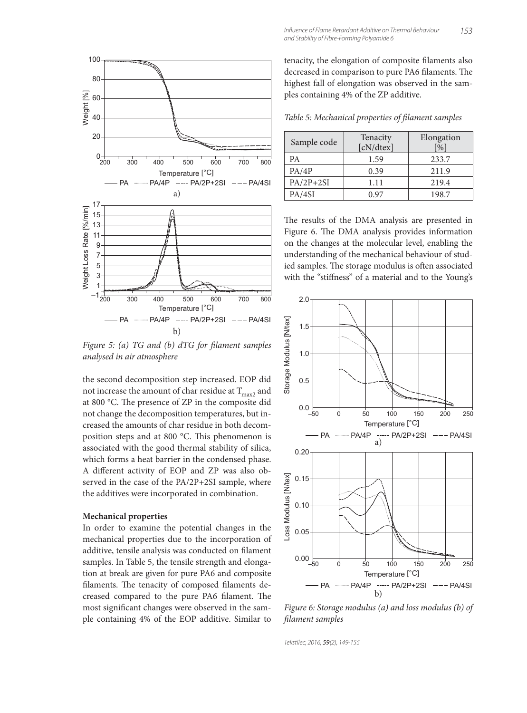

Figure 5: (a)  $TG$  and (b)  $dTG$  for filament samples analysed in air atmosphere

the second decomposition step increased. EOP did not increase the amount of char residue at  $T_{\text{max2}}$  and at 800 °C. The presence of ZP in the composite did not change the decomposition temperatures, but increased the amounts of char residue in both decomposition steps and at 800 °C. This phenomenon is associated with the good thermal stability of silica, which forms a heat barrier in the condensed phase. A different activity of EOP and ZP was also observed in the case of the PA/2P+2SI sample, where the additives were incorporated in combination.

#### **Mechanical properties**

In order to examine the potential changes in the mechanical properties due to the incorporation of additive, tensile analysis was conducted on filament samples. In Table 5, the tensile strength and elongation at break are given for pure PA6 and composite filaments. The tenacity of composed filaments decreased compared to the pure PA6 filament. The most significant changes were observed in the sample containing 4% of the EOP additive. Similar to tenacity, the elongation of composite filaments also decreased in comparison to pure PA6 filaments. The highest fall of elongation was observed in the samples containing 4% of the ZP additive.

Table 5: Mechanical properties of filament samples

| Sample code | Tenacity<br>[cN/dtex] | Elongation<br>$\lceil 0_0 \rceil$ |
|-------------|-----------------------|-----------------------------------|
| PA          | 1.59                  | 233.7                             |
| PA/4P       | 0.39                  | 211.9                             |
| $PA/2P+2SI$ | 1.11                  | 219.4                             |
| PA/4SI      | በ 97                  | 198.7                             |

The results of the DMA analysis are presented in Figure 6. The DMA analysis provides information on the changes at the molecular level, enabling the understanding of the mechanical behaviour of studied samples. The storage modulus is often associated with the "stiffness" of a material and to the Young's



Figure 6: Storage modulus (a) and loss modulus (b) of filament samples

Tekstilec, 2016, 59(2), 149-155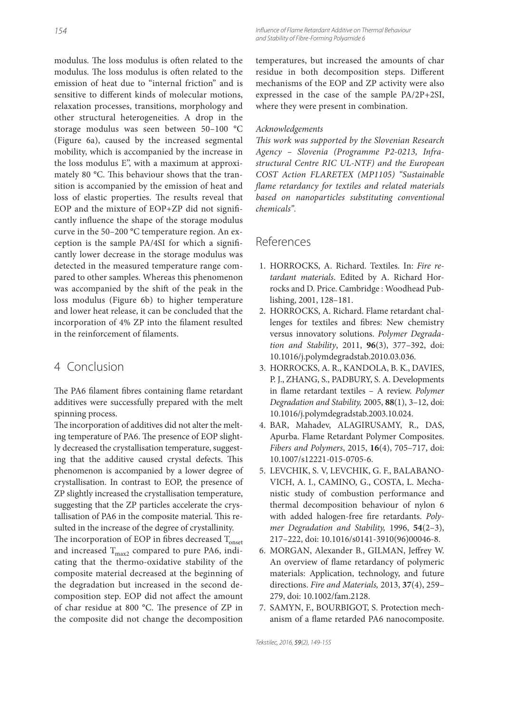modulus. The loss modulus is often related to the modulus. The loss modulus is often related to the emission of heat due to "internal friction" and is sensitive to different kinds of molecular motions, relaxation processes, transitions, morphology and other structural heterogeneities. A drop in the storage modulus was seen between 50–100 °C (Figure 6a), caused by the increased segmental mobility, which is accompanied by the increase in the loss modulus E'', with a maximum at approximately 80 °C. This behaviour shows that the transition is accompanied by the emission of heat and loss of elastic properties. The results reveal that EOP and the mixture of EOP+ZP did not significantly influence the shape of the storage modulus curve in the 50–200 °C temperature region. An exception is the sample PA/4SI for which a significantly lower decrease in the storage modulus was detected in the measured temperature range compared to other samples. Whereas this phenomenon was accompanied by the shift of the peak in the loss modulus (Figure 6b) to higher temperature and lower heat release, it can be concluded that the incorporation of 4% ZP into the filament resulted in the reinforcement of filaments.

# 4 Conclusion

The PA6 filament fibres containing flame retardant additives were successfully prepared with the melt spinning process.

The incorporation of additives did not alter the melting temperature of PA6. The presence of EOP slightly decreased the crystallisation temperature, suggesting that the additive caused crystal defects. This phenomenon is accompanied by a lower degree of crystallisation. In contrast to EOP, the presence of ZP slightly increased the crystallisation temperature, suggesting that the ZP particles accelerate the crystallisation of PA6 in the composite material. This resulted in the increase of the degree of crystallinity.

The incorporation of EOP in fibres decreased  $T_{\text{onset}}$ and increased  $T_{max2}$  compared to pure PA6, indicating that the thermo-oxidative stability of the composite material decreased at the beginning of the degradation but increased in the second decomposition step. EOP did not affect the amount of char residue at 800 °C. The presence of ZP in the composite did not change the decomposition

Influence of Flame Retardant Additive on Thermal Behaviour and Stability of Fibre-Forming Polyamide 6

temperatures, but increased the amounts of char residue in both decomposition steps. Different mechanisms of the EOP and ZP activity were also expressed in the case of the sample PA/2P+2SI, where they were present in combination.

#### Acknowledgements

This work was supported by the Slovenian Research Agency – Slovenia (Programme P2-0213, Infrastructural Centre RIC UL-NTF) and the European COST Action FLARETEX (MP1105) "Sustainable flame retardancy for textiles and related materials based on nanoparticles substituting conventional chemicals".

# References

- 1. HORROCKS, A. Richard. Textiles. In: Fire retardant materials. Edited by A. Richard Horrocks and D. Price. Cambridge : Woodhead Publishing, 2001, 128–181.
- 2. HORROCKS, A. Richard. Flame retardant challenges for textiles and fibres: New chemistry versus innovatory solutions. Polymer Degradation and Stability, 2011, **96**(3), 377–392, doi: 10.1016/j.polymdegradstab.2010.03.036.
- 3. HORROCKS, A. R., KANDOLA, B. K., DAVIES, P. J., ZHANG, S., PADBURY, S. A. Developments in flame retardant textiles - A review. Polymer Degradation and Stability, 2005, **88**(1), 3–12, doi: 10.1016/j.polymdegradstab.2003.10.024.
- 4. BAR, Mahadev, ALAGIRUSAMY, R., DAS, Apurba. Flame Retardant Polymer Composites. Fibers and Polymers, 2015, **16**(4), 705–717, doi: 10.1007/s12221-015-0705-6.
- 5. LEVCHIK, S. V, LEVCHIK, G. F., BALABANO-VICH, A. I., CAMINO, G., COSTA, L. Mechanistic study of combustion performance and thermal decomposition behaviour of nylon 6 with added halogen-free fire retardants. Polymer Degradation and Stability, 1996, **54**(2–3), 217–222, doi: 10.1016/s0141-3910(96)00046-8.
- 6. MORGAN, Alexander B., GILMAN, Jeffrey W. An overview of flame retardancy of polymeric materials: Application, technology, and future directions. Fire and Materials, 2013, **37**(4), 259– 279, doi: 10.1002/fam.2128.
- 7. SAMYN, F., BOURBIGOT, S. Protection mechanism of a flame retarded PA6 nanocomposite.